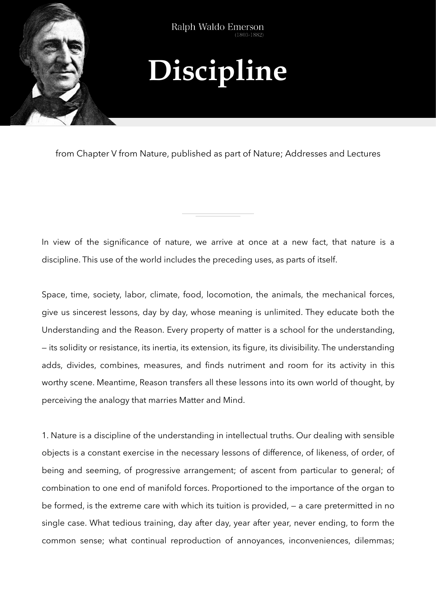

## **Discipline**

from Chapter V from Nature, published as part of Nature; Addresses and Lectures

In view of the significance of nature, we arrive at once at a new fact, that nature is a discipline. This use of the world includes the preceding uses, as parts of itself.

Space, time, society, labor, climate, food, locomotion, the animals, the mechanical forces, give us sincerest lessons, day by day, whose meaning is unlimited. They educate both the Understanding and the Reason. Every property of matter is a school for the understanding, — its solidity or resistance, its inertia, its extension, its figure, its divisibility. The understanding adds, divides, combines, measures, and finds nutriment and room for its activity in this worthy scene. Meantime, Reason transfers all these lessons into its own world of thought, by perceiving the analogy that marries Matter and Mind.

1. Nature is a discipline of the understanding in intellectual truths. Our dealing with sensible objects is a constant exercise in the necessary lessons of difference, of likeness, of order, of being and seeming, of progressive arrangement; of ascent from particular to general; of combination to one end of manifold forces. Proportioned to the importance of the organ to be formed, is the extreme care with which its tuition is provided, — a care pretermitted in no single case. What tedious training, day after day, year after year, never ending, to form the common sense; what continual reproduction of annoyances, inconveniences, dilemmas;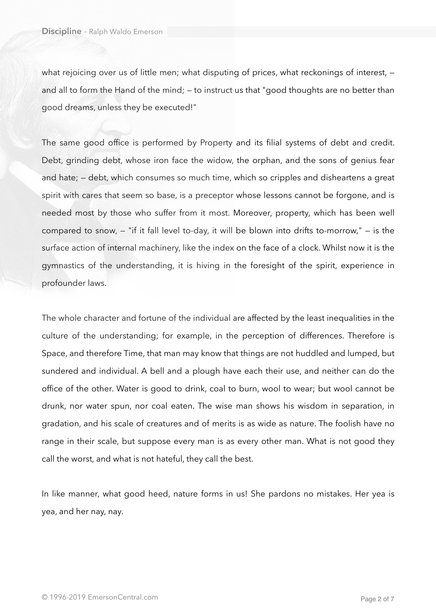what rejoicing over us of little men; what disputing of prices, what reckonings of interest, and all to form the Hand of the mind; – to instruct us that "good thoughts are no better than good dreams, unless they be executed!"

The same good office is performed by Property and its filial systems of debt and credit. Debt, grinding debt, whose iron face the widow, the orphan, and the sons of genius fear and hate; — debt, which consumes so much time, which so cripples and disheartens a great spirit with cares that seem so base, is a preceptor whose lessons cannot be forgone, and is needed most by those who suffer from it most. Moreover, property, which has been well compared to snow, — "if it fall level to-day, it will be blown into drifts to-morrow," — is the surface action of internal machinery, like the index on the face of a clock. Whilst now it is the gymnastics of the understanding, it is hiving in the foresight of the spirit, experience in profounder laws.

The whole character and fortune of the individual are affected by the least inequalities in the culture of the understanding; for example, in the perception of differences. Therefore is Space, and therefore Time, that man may know that things are not huddled and lumped, but sundered and individual. A bell and a plough have each their use, and neither can do the office of the other. Water is good to drink, coal to burn, wool to wear; but wool cannot be drunk, nor water spun, nor coal eaten. The wise man shows his wisdom in separation, in gradation, and his scale of creatures and of merits is as wide as nature. The foolish have no range in their scale, but suppose every man is as every other man. What is not good they call the worst, and what is not hateful, they call the best.

In like manner, what good heed, nature forms in us! She pardons no mistakes. Her yea is yea, and her nay, nay.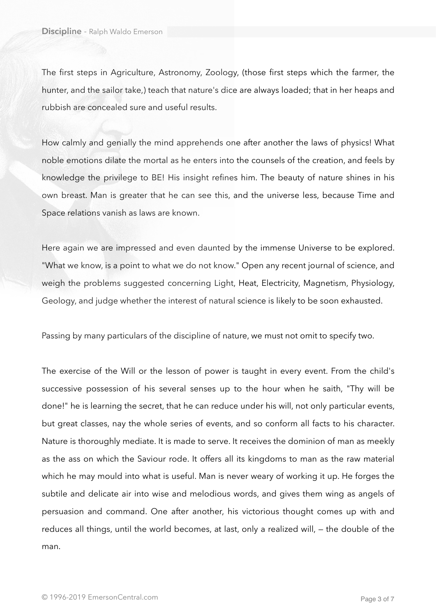The first steps in Agriculture, Astronomy, Zoology, (those first steps which the farmer, the hunter, and the sailor take,) teach that nature's dice are always loaded; that in her heaps and rubbish are concealed sure and useful results.

How calmly and genially the mind apprehends one after another the laws of physics! What noble emotions dilate the mortal as he enters into the counsels of the creation, and feels by knowledge the privilege to BE! His insight refines him. The beauty of nature shines in his own breast. Man is greater that he can see this, and the universe less, because Time and Space relations vanish as laws are known.

Here again we are impressed and even daunted by the immense Universe to be explored. "What we know, is a point to what we do not know." Open any recent journal of science, and weigh the problems suggested concerning Light, Heat, Electricity, Magnetism, Physiology, Geology, and judge whether the interest of natural science is likely to be soon exhausted.

Passing by many particulars of the discipline of nature, we must not omit to specify two.

The exercise of the Will or the lesson of power is taught in every event. From the child's successive possession of his several senses up to the hour when he saith, "Thy will be done!" he is learning the secret, that he can reduce under his will, not only particular events, but great classes, nay the whole series of events, and so conform all facts to his character. Nature is thoroughly mediate. It is made to serve. It receives the dominion of man as meekly as the ass on which the Saviour rode. It offers all its kingdoms to man as the raw material which he may mould into what is useful. Man is never weary of working it up. He forges the subtile and delicate air into wise and melodious words, and gives them wing as angels of persuasion and command. One after another, his victorious thought comes up with and reduces all things, until the world becomes, at last, only a realized will, — the double of the man.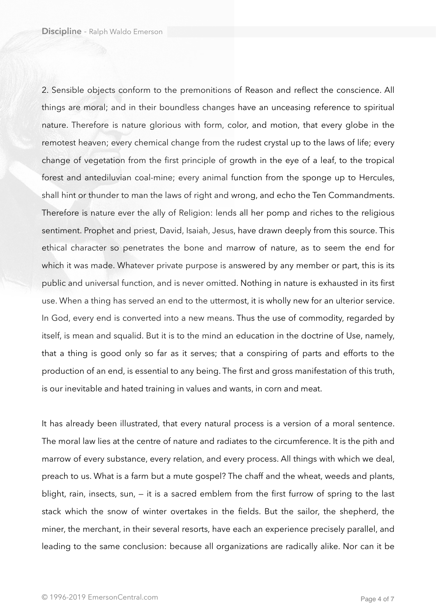2. Sensible objects conform to the premonitions of Reason and reflect the conscience. All things are moral; and in their boundless changes have an unceasing reference to spiritual nature. Therefore is nature glorious with form, color, and motion, that every globe in the remotest heaven; every chemical change from the rudest crystal up to the laws of life; every change of vegetation from the first principle of growth in the eye of a leaf, to the tropical forest and antediluvian coal-mine; every animal function from the sponge up to Hercules, shall hint or thunder to man the laws of right and wrong, and echo the Ten Commandments. Therefore is nature ever the ally of Religion: lends all her pomp and riches to the religious sentiment. Prophet and priest, David, Isaiah, Jesus, have drawn deeply from this source. This ethical character so penetrates the bone and marrow of nature, as to seem the end for which it was made. Whatever private purpose is answered by any member or part, this is its public and universal function, and is never omitted. Nothing in nature is exhausted in its first use. When a thing has served an end to the uttermost, it is wholly new for an ulterior service. In God, every end is converted into a new means. Thus the use of commodity, regarded by itself, is mean and squalid. But it is to the mind an education in the doctrine of Use, namely, that a thing is good only so far as it serves; that a conspiring of parts and efforts to the production of an end, is essential to any being. The first and gross manifestation of this truth, is our inevitable and hated training in values and wants, in corn and meat.

It has already been illustrated, that every natural process is a version of a moral sentence. The moral law lies at the centre of nature and radiates to the circumference. It is the pith and marrow of every substance, every relation, and every process. All things with which we deal, preach to us. What is a farm but a mute gospel? The chaff and the wheat, weeds and plants, blight, rain, insects, sun, — it is a sacred emblem from the first furrow of spring to the last stack which the snow of winter overtakes in the fields. But the sailor, the shepherd, the miner, the merchant, in their several resorts, have each an experience precisely parallel, and leading to the same conclusion: because all organizations are radically alike. Nor can it be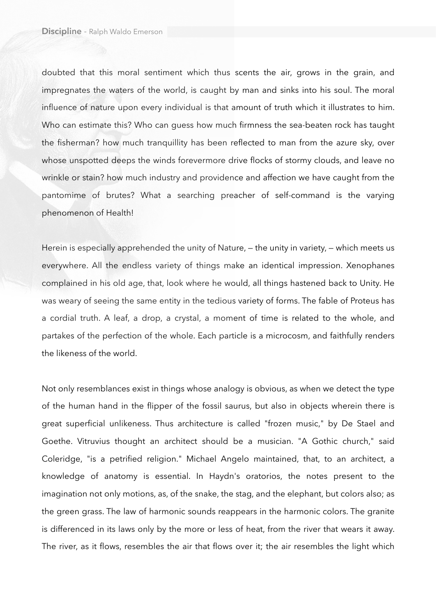doubted that this moral sentiment which thus scents the air, grows in the grain, and impregnates the waters of the world, is caught by man and sinks into his soul. The moral influence of nature upon every individual is that amount of truth which it illustrates to him. Who can estimate this? Who can guess how much firmness the sea-beaten rock has taught the fisherman? how much tranquillity has been reflected to man from the azure sky, over whose unspotted deeps the winds forevermore drive flocks of stormy clouds, and leave no wrinkle or stain? how much industry and providence and affection we have caught from the pantomime of brutes? What a searching preacher of self-command is the varying phenomenon of Health!

Herein is especially apprehended the unity of Nature, — the unity in variety, — which meets us everywhere. All the endless variety of things make an identical impression. Xenophanes complained in his old age, that, look where he would, all things hastened back to Unity. He was weary of seeing the same entity in the tedious variety of forms. The fable of Proteus has a cordial truth. A leaf, a drop, a crystal, a moment of time is related to the whole, and partakes of the perfection of the whole. Each particle is a microcosm, and faithfully renders the likeness of the world.

Not only resemblances exist in things whose analogy is obvious, as when we detect the type of the human hand in the flipper of the fossil saurus, but also in objects wherein there is great superficial unlikeness. Thus architecture is called "frozen music," by De Stael and Goethe. Vitruvius thought an architect should be a musician. "A Gothic church," said Coleridge, "is a petrified religion." Michael Angelo maintained, that, to an architect, a knowledge of anatomy is essential. In Haydn's oratorios, the notes present to the imagination not only motions, as, of the snake, the stag, and the elephant, but colors also; as the green grass. The law of harmonic sounds reappears in the harmonic colors. The granite is differenced in its laws only by the more or less of heat, from the river that wears it away. The river, as it flows, resembles the air that flows over it; the air resembles the light which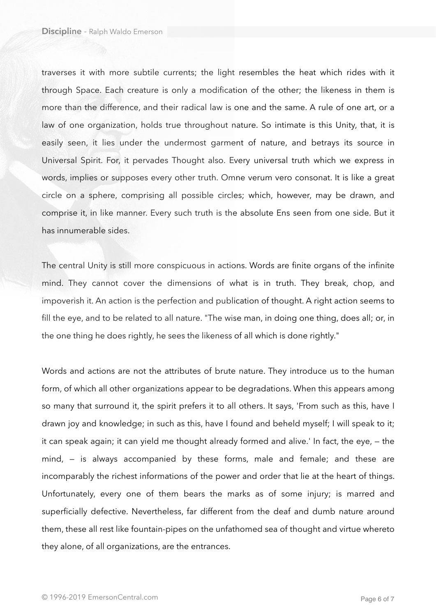traverses it with more subtile currents; the light resembles the heat which rides with it through Space. Each creature is only a modification of the other; the likeness in them is more than the difference, and their radical law is one and the same. A rule of one art, or a law of one organization, holds true throughout nature. So intimate is this Unity, that, it is easily seen, it lies under the undermost garment of nature, and betrays its source in Universal Spirit. For, it pervades Thought also. Every universal truth which we express in words, implies or supposes every other truth. Omne verum vero consonat. It is like a great circle on a sphere, comprising all possible circles; which, however, may be drawn, and comprise it, in like manner. Every such truth is the absolute Ens seen from one side. But it has innumerable sides.

The central Unity is still more conspicuous in actions. Words are finite organs of the infinite mind. They cannot cover the dimensions of what is in truth. They break, chop, and impoverish it. An action is the perfection and publication of thought. A right action seems to fill the eye, and to be related to all nature. "The wise man, in doing one thing, does all; or, in the one thing he does rightly, he sees the likeness of all which is done rightly."

Words and actions are not the attributes of brute nature. They introduce us to the human form, of which all other organizations appear to be degradations. When this appears among so many that surround it, the spirit prefers it to all others. It says, 'From such as this, have I drawn joy and knowledge; in such as this, have I found and beheld myself; I will speak to it; it can speak again; it can yield me thought already formed and alive.' In fact, the eye, — the mind, — is always accompanied by these forms, male and female; and these are incomparably the richest informations of the power and order that lie at the heart of things. Unfortunately, every one of them bears the marks as of some injury; is marred and superficially defective. Nevertheless, far different from the deaf and dumb nature around them, these all rest like fountain-pipes on the unfathomed sea of thought and virtue whereto they alone, of all organizations, are the entrances.